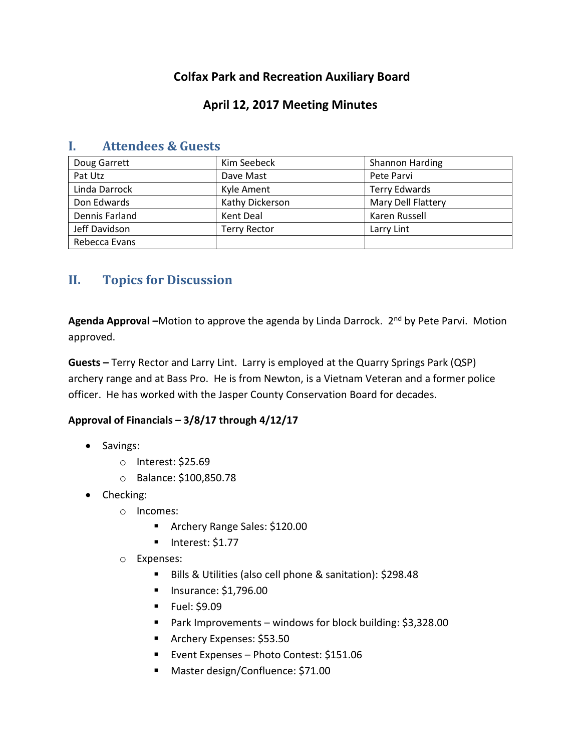# **Colfax Park and Recreation Auxiliary Board**

## **April 12, 2017 Meeting Minutes**

| Doug Garrett   | Kim Seebeck         | Shannon Harding      |
|----------------|---------------------|----------------------|
| Pat Utz        | Dave Mast           | Pete Parvi           |
| Linda Darrock  | Kyle Ament          | <b>Terry Edwards</b> |
| Don Edwards    | Kathy Dickerson     | Mary Dell Flattery   |
| Dennis Farland | Kent Deal           | Karen Russell        |
| Jeff Davidson  | <b>Terry Rector</b> | Larry Lint           |
| Rebecca Evans  |                     |                      |

### **I. Attendees & Guests**

# **II. Topics for Discussion**

**Agenda Approval –**Motion to approve the agenda by Linda Darrock. 2nd by Pete Parvi. Motion approved.

**Guests –** Terry Rector and Larry Lint. Larry is employed at the Quarry Springs Park (QSP) archery range and at Bass Pro. He is from Newton, is a Vietnam Veteran and a former police officer. He has worked with the Jasper County Conservation Board for decades.

### **Approval of Financials – 3/8/17 through 4/12/17**

- Savings:
	- o Interest: \$25.69
	- o Balance: \$100,850.78
- Checking:
	- o Incomes:
		- **Archery Range Sales: \$120.00**
		- $\blacksquare$  Interest: \$1.77
	- o Expenses:
		- Bills & Utilities (also cell phone & sanitation): \$298.48
		- **Insurance: \$1,796.00**
		- **Fuel: \$9.09**
		- **Park Improvements windows for block building: \$3,328.00**
		- **Archery Expenses: \$53.50**
		- Event Expenses Photo Contest: \$151.06
		- Master design/Confluence: \$71.00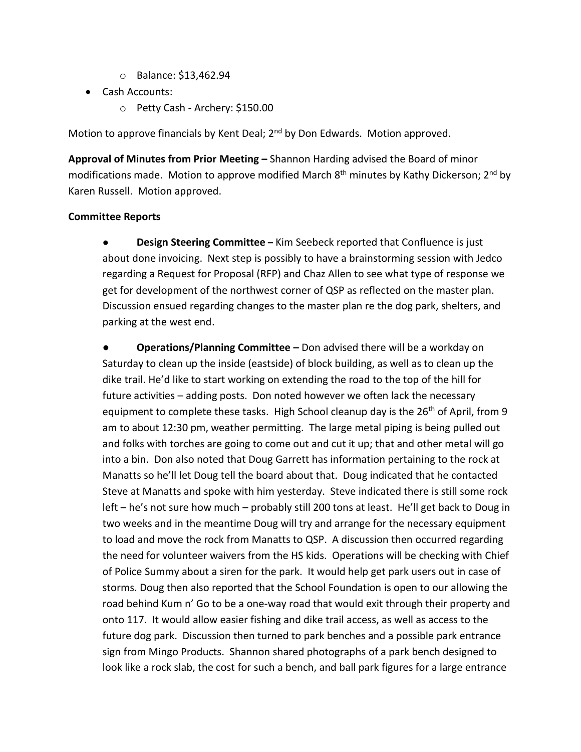- o Balance: \$13,462.94
- Cash Accounts:
	- o Petty Cash Archery: \$150.00

Motion to approve financials by Kent Deal; 2<sup>nd</sup> by Don Edwards. Motion approved.

**Approval of Minutes from Prior Meeting –** Shannon Harding advised the Board of minor modifications made. Motion to approve modified March 8<sup>th</sup> minutes by Kathy Dickerson; 2<sup>nd</sup> by Karen Russell. Motion approved.

#### **Committee Reports**

● **Design Steering Committee –** Kim Seebeck reported that Confluence is just about done invoicing. Next step is possibly to have a brainstorming session with Jedco regarding a Request for Proposal (RFP) and Chaz Allen to see what type of response we get for development of the northwest corner of QSP as reflected on the master plan. Discussion ensued regarding changes to the master plan re the dog park, shelters, and parking at the west end.

**● Operations/Planning Committee –** Don advised there will be a workday on Saturday to clean up the inside (eastside) of block building, as well as to clean up the dike trail. He'd like to start working on extending the road to the top of the hill for future activities – adding posts. Don noted however we often lack the necessary equipment to complete these tasks. High School cleanup day is the 26<sup>th</sup> of April, from 9 am to about 12:30 pm, weather permitting. The large metal piping is being pulled out and folks with torches are going to come out and cut it up; that and other metal will go into a bin. Don also noted that Doug Garrett has information pertaining to the rock at Manatts so he'll let Doug tell the board about that. Doug indicated that he contacted Steve at Manatts and spoke with him yesterday. Steve indicated there is still some rock left – he's not sure how much – probably still 200 tons at least. He'll get back to Doug in two weeks and in the meantime Doug will try and arrange for the necessary equipment to load and move the rock from Manatts to QSP. A discussion then occurred regarding the need for volunteer waivers from the HS kids. Operations will be checking with Chief of Police Summy about a siren for the park. It would help get park users out in case of storms. Doug then also reported that the School Foundation is open to our allowing the road behind Kum n' Go to be a one-way road that would exit through their property and onto 117. It would allow easier fishing and dike trail access, as well as access to the future dog park. Discussion then turned to park benches and a possible park entrance sign from Mingo Products. Shannon shared photographs of a park bench designed to look like a rock slab, the cost for such a bench, and ball park figures for a large entrance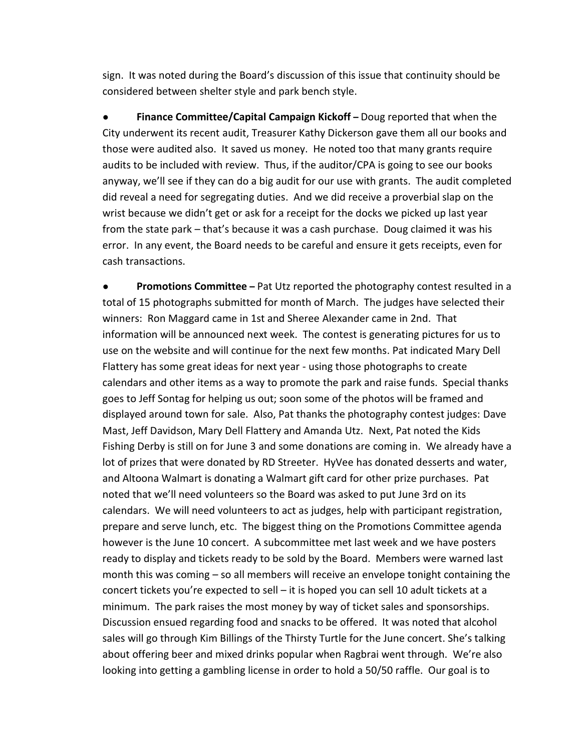sign. It was noted during the Board's discussion of this issue that continuity should be considered between shelter style and park bench style.

● **Finance Committee/Capital Campaign Kickoff –** Doug reported that when the City underwent its recent audit, Treasurer Kathy Dickerson gave them all our books and those were audited also. It saved us money. He noted too that many grants require audits to be included with review. Thus, if the auditor/CPA is going to see our books anyway, we'll see if they can do a big audit for our use with grants. The audit completed did reveal a need for segregating duties. And we did receive a proverbial slap on the wrist because we didn't get or ask for a receipt for the docks we picked up last year from the state park – that's because it was a cash purchase. Doug claimed it was his error. In any event, the Board needs to be careful and ensure it gets receipts, even for cash transactions.

**Promotions Committee** – Pat Utz reported the photography contest resulted in a total of 15 photographs submitted for month of March. The judges have selected their winners: Ron Maggard came in 1st and Sheree Alexander came in 2nd. That information will be announced next week. The contest is generating pictures for us to use on the website and will continue for the next few months. Pat indicated Mary Dell Flattery has some great ideas for next year - using those photographs to create calendars and other items as a way to promote the park and raise funds. Special thanks goes to Jeff Sontag for helping us out; soon some of the photos will be framed and displayed around town for sale. Also, Pat thanks the photography contest judges: Dave Mast, Jeff Davidson, Mary Dell Flattery and Amanda Utz. Next, Pat noted the Kids Fishing Derby is still on for June 3 and some donations are coming in. We already have a lot of prizes that were donated by RD Streeter. HyVee has donated desserts and water, and Altoona Walmart is donating a Walmart gift card for other prize purchases. Pat noted that we'll need volunteers so the Board was asked to put June 3rd on its calendars. We will need volunteers to act as judges, help with participant registration, prepare and serve lunch, etc. The biggest thing on the Promotions Committee agenda however is the June 10 concert. A subcommittee met last week and we have posters ready to display and tickets ready to be sold by the Board. Members were warned last month this was coming – so all members will receive an envelope tonight containing the concert tickets you're expected to sell – it is hoped you can sell 10 adult tickets at a minimum. The park raises the most money by way of ticket sales and sponsorships. Discussion ensued regarding food and snacks to be offered. It was noted that alcohol sales will go through Kim Billings of the Thirsty Turtle for the June concert. She's talking about offering beer and mixed drinks popular when Ragbrai went through. We're also looking into getting a gambling license in order to hold a 50/50 raffle. Our goal is to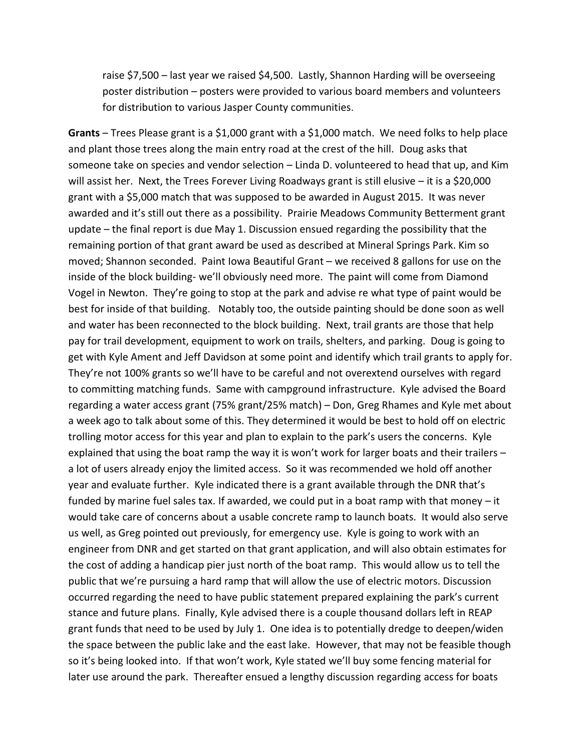raise \$7,500 – last year we raised \$4,500. Lastly, Shannon Harding will be overseeing poster distribution – posters were provided to various board members and volunteers for distribution to various Jasper County communities.

**Grants** – Trees Please grant is a \$1,000 grant with a \$1,000 match. We need folks to help place and plant those trees along the main entry road at the crest of the hill. Doug asks that someone take on species and vendor selection – Linda D. volunteered to head that up, and Kim will assist her. Next, the Trees Forever Living Roadways grant is still elusive – it is a \$20,000 grant with a \$5,000 match that was supposed to be awarded in August 2015. It was never awarded and it's still out there as a possibility. Prairie Meadows Community Betterment grant update – the final report is due May 1. Discussion ensued regarding the possibility that the remaining portion of that grant award be used as described at Mineral Springs Park. Kim so moved; Shannon seconded. Paint Iowa Beautiful Grant – we received 8 gallons for use on the inside of the block building- we'll obviously need more. The paint will come from Diamond Vogel in Newton. They're going to stop at the park and advise re what type of paint would be best for inside of that building. Notably too, the outside painting should be done soon as well and water has been reconnected to the block building. Next, trail grants are those that help pay for trail development, equipment to work on trails, shelters, and parking. Doug is going to get with Kyle Ament and Jeff Davidson at some point and identify which trail grants to apply for. They're not 100% grants so we'll have to be careful and not overextend ourselves with regard to committing matching funds. Same with campground infrastructure. Kyle advised the Board regarding a water access grant (75% grant/25% match) – Don, Greg Rhames and Kyle met about a week ago to talk about some of this. They determined it would be best to hold off on electric trolling motor access for this year and plan to explain to the park's users the concerns. Kyle explained that using the boat ramp the way it is won't work for larger boats and their trailers – a lot of users already enjoy the limited access. So it was recommended we hold off another year and evaluate further. Kyle indicated there is a grant available through the DNR that's funded by marine fuel sales tax. If awarded, we could put in a boat ramp with that money – it would take care of concerns about a usable concrete ramp to launch boats. It would also serve us well, as Greg pointed out previously, for emergency use. Kyle is going to work with an engineer from DNR and get started on that grant application, and will also obtain estimates for the cost of adding a handicap pier just north of the boat ramp. This would allow us to tell the public that we're pursuing a hard ramp that will allow the use of electric motors. Discussion occurred regarding the need to have public statement prepared explaining the park's current stance and future plans. Finally, Kyle advised there is a couple thousand dollars left in REAP grant funds that need to be used by July 1. One idea is to potentially dredge to deepen/widen the space between the public lake and the east lake. However, that may not be feasible though so it's being looked into. If that won't work, Kyle stated we'll buy some fencing material for later use around the park. Thereafter ensued a lengthy discussion regarding access for boats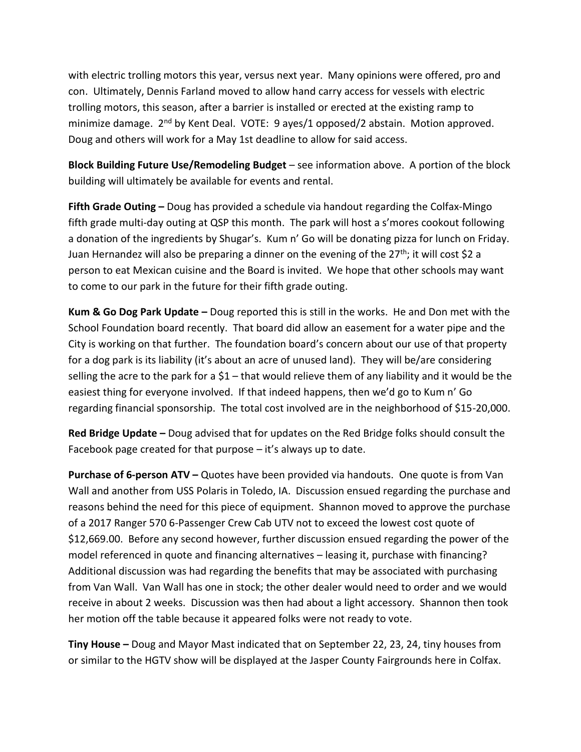with electric trolling motors this year, versus next year. Many opinions were offered, pro and con. Ultimately, Dennis Farland moved to allow hand carry access for vessels with electric trolling motors, this season, after a barrier is installed or erected at the existing ramp to minimize damage. 2nd by Kent Deal. VOTE: 9 ayes/1 opposed/2 abstain. Motion approved. Doug and others will work for a May 1st deadline to allow for said access.

**Block Building Future Use/Remodeling Budget** – see information above. A portion of the block building will ultimately be available for events and rental.

**Fifth Grade Outing –** Doug has provided a schedule via handout regarding the Colfax-Mingo fifth grade multi-day outing at QSP this month. The park will host a s'mores cookout following a donation of the ingredients by Shugar's. Kum n' Go will be donating pizza for lunch on Friday. Juan Hernandez will also be preparing a dinner on the evening of the 27<sup>th</sup>; it will cost \$2 a person to eat Mexican cuisine and the Board is invited. We hope that other schools may want to come to our park in the future for their fifth grade outing.

**Kum & Go Dog Park Update –** Doug reported this is still in the works. He and Don met with the School Foundation board recently. That board did allow an easement for a water pipe and the City is working on that further. The foundation board's concern about our use of that property for a dog park is its liability (it's about an acre of unused land). They will be/are considering selling the acre to the park for a  $$1$  – that would relieve them of any liability and it would be the easiest thing for everyone involved. If that indeed happens, then we'd go to Kum n' Go regarding financial sponsorship. The total cost involved are in the neighborhood of \$15-20,000.

**Red Bridge Update –** Doug advised that for updates on the Red Bridge folks should consult the Facebook page created for that purpose – it's always up to date.

**Purchase of 6-person ATV –** Quotes have been provided via handouts. One quote is from Van Wall and another from USS Polaris in Toledo, IA. Discussion ensued regarding the purchase and reasons behind the need for this piece of equipment. Shannon moved to approve the purchase of a 2017 Ranger 570 6-Passenger Crew Cab UTV not to exceed the lowest cost quote of \$12,669.00. Before any second however, further discussion ensued regarding the power of the model referenced in quote and financing alternatives – leasing it, purchase with financing? Additional discussion was had regarding the benefits that may be associated with purchasing from Van Wall. Van Wall has one in stock; the other dealer would need to order and we would receive in about 2 weeks. Discussion was then had about a light accessory. Shannon then took her motion off the table because it appeared folks were not ready to vote.

**Tiny House –** Doug and Mayor Mast indicated that on September 22, 23, 24, tiny houses from or similar to the HGTV show will be displayed at the Jasper County Fairgrounds here in Colfax.